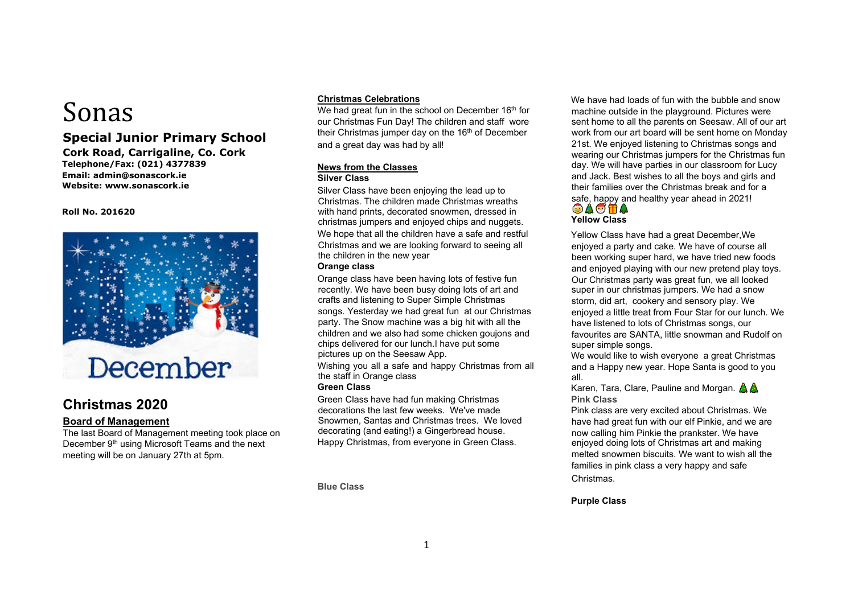# Sonas

## **Special Junior Primary School**

**Cork Road, Carrigaline, Co. Cork Telephone/Fax: (021) 4377839 Email: admin@sonascork.ie Website: www.sonascork.ie** 

**Roll No. 201620** 



# **Christmas 2020**

## **Board of Management**

The last Board of Management meeting took place on December 9<sup>th</sup> using Microsoft Teams and the next meeting will be on January 27th at 5pm.

#### **Christmas Celebrations**

We had great fun in the school on December 16<sup>th</sup> for our Christmas Fun Day! The children and staff wore their Christmas jumper day on the 16<sup>th</sup> of December and a great day was had by all!

#### **News from the Classes Silver Class**

Silver Class have been enjoying the lead up to Christmas. The children made Christmas wreaths with hand prints, decorated snowmen, dressed in christmas jumpers and enjoyed chips and nuggets. We hope that all the children have a safe and restful Christmas and we are looking forward to seeing all the children in the new year

#### **Orange class**

Orange class have been having lots of festive fun recently. We have been busy doing lots of art and crafts and listening to Super Simple Christmas songs. Yesterday we had great fun at our Christmas party. The Snow machine was a big hit with all the children and we also had some chicken goujons and chips delivered for our lunch.I have put some pictures up on the Seesaw App.

Wishing you all a safe and happy Christmas from all the staff in Orange class

#### **Green Class**

Green Class have had fun making Christmas decorations the last few weeks. We've made Snowmen, Santas and Christmas trees. We loved decorating (and eating!) a Gingerbread house. Happy Christmas, from everyone in Green Class.

**Blue Class** 

We have had loads of fun with the bubble and snow machine outside in the playground. Pictures were sent home to all the parents on Seesaw. All of our art work from our art board will be sent home on Monday 21st. We enjoyed listening to Christmas songs and wearing our Christmas jumpers for the Christmas fun day. We will have parties in our classroom for Lucy and Jack. Best wishes to all the boys and girls and their families over the Christmas break and for a safe, happy and healthy year ahead in 2021!  $\circledcirc$  a  $\circ$  if a

## **Yellow Class**

Yellow Class have had a great December,We enjoyed a party and cake. We have of course all been working super hard, we have tried new foods and enjoyed playing with our new pretend play toys. Our Christmas party was great fun, we all looked super in our christmas jumpers. We had a snow storm, did art, cookery and sensory play. We enjoyed a little treat from Four Star for our lunch. We have listened to lots of Christmas songs, our favourites are SANTA, little snowman and Rudolf on super simple songs.

We would like to wish everyone a great Christmas and a Happy new year. Hope Santa is good to you all.

Karen, Tara, Clare, Pauline and Morgan.  $\mathbb{A} \mathbb{A}$ **Pink Class**

Pink class are very excited about Christmas. We have had great fun with our elf Pinkie, and we are now calling him Pinkie the prankster. We have enjoyed doing lots of Christmas art and making melted snowmen biscuits. We want to wish all the families in pink class a very happy and safe

Christmas.

#### **Purple Class**